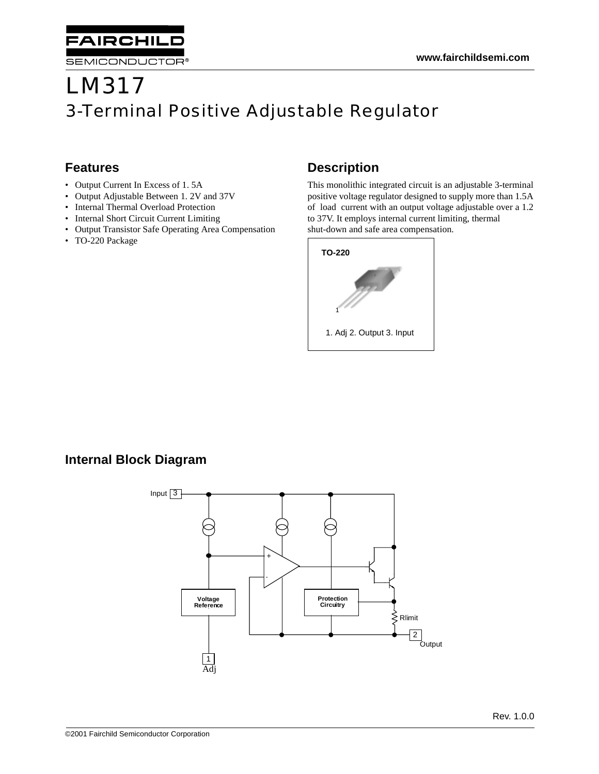# LM317 3-Terminal Positive Adjustable Regulator

## **Features**

• Output Current In Excess of 1. 5A

**AIRCHILD** 

SEMICONDUCTOR®

- Output Adjustable Between 1. 2V and 37V
- Internal Thermal Overload Protection
- Internal Short Circuit Current Limiting
- Output Transistor Safe Operating Area Compensation
- TO-220 Package

# **Description**

This monolithic integrated circuit is an adjustable 3-terminal positive voltage regulator designed to supply more than 1.5A of load current with an output voltage adjustable over a 1.2 to 37V. It employs internal current limiting, thermal shut-down and safe area compensation.



### **Internal Block Diagram**

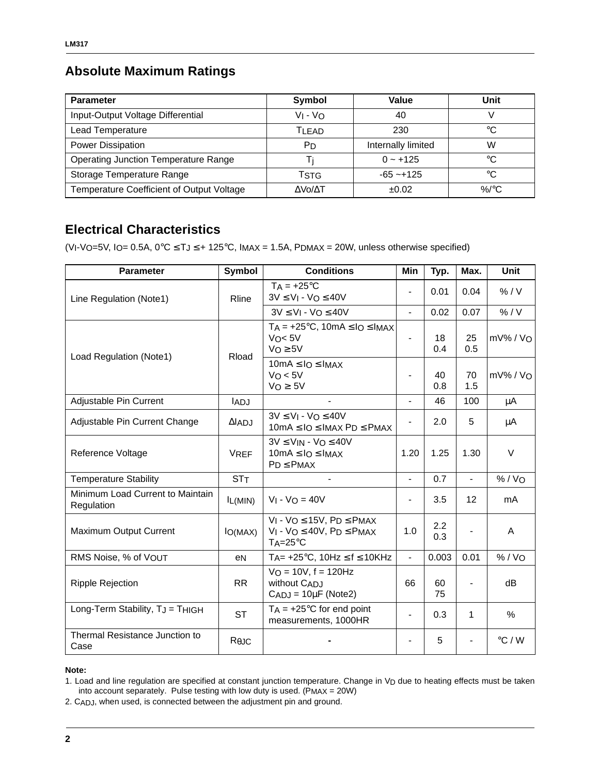# **Absolute Maximum Ratings**

| <b>Parameter</b>                            | <b>Symbol</b> | Value              | Unit            |
|---------------------------------------------|---------------|--------------------|-----------------|
| Input-Output Voltage Differential           | $V_1 - V_0$   | 40                 |                 |
| Lead Temperature                            | <b>TI FAD</b> | 230                | °C              |
| <b>Power Dissipation</b>                    | Рn            | Internally limited | W               |
| <b>Operating Junction Temperature Range</b> |               | $0 - +125$         | °C              |
| Storage Temperature Range                   | TstG          | $-65 - +125$       | °C              |
| Temperature Coefficient of Output Voltage   | ΔVο/ΔΤ        | ±0.02              | %/ $^{\circ}$ C |

# **Electrical Characteristics**

(VI-VO=5V, IO= 0.5A,  $0^{\circ}C \leq T$ J $\leq$  + 125°C, IMAX = 1.5A, PDMAX = 20W, unless otherwise specified)

| <b>Parameter</b>                               | Symbol         | <b>Conditions</b>                                                                                           | Min            | Typ.       | Max.           | <b>Unit</b>     |
|------------------------------------------------|----------------|-------------------------------------------------------------------------------------------------------------|----------------|------------|----------------|-----------------|
| Line Regulation (Note1)                        | Rline          | $TA = +25^{\circ}C$<br>$3V \le VI - VO \le 40V$                                                             |                | 0.01       | 0.04           | % / V           |
|                                                |                | $3V \le V_1 - V_0 \le 40V$                                                                                  | $\blacksquare$ | 0.02       | 0.07           | % / V           |
| Load Regulation (Note1)                        | Rload          | $TA = +25^{\circ}C$ , $10mA \leq 10 \leq 1MAX$<br>$V_0 < 5V$<br>$VO \geq 5V$                                |                | 18<br>0.4  | 25<br>0.5      | $mV\%$ / $VO$   |
|                                                |                | $10mA \leq IO \leq IMAX$<br>$V_O < 5V$<br>$V_O \geq 5V$                                                     | $\blacksquare$ | 40<br>0.8  | 70<br>1.5      | $mV\%$ / $VO$   |
| Adjustable Pin Current                         | <b>IADJ</b>    | $\blacksquare$                                                                                              | $\blacksquare$ | 46         | 100            | μA              |
| Adjustable Pin Current Change                  | $\Delta$ ADJ   | $3V \leq V_1 - V_0 \leq 40V$<br>$10mA \leq IO \leq IMAX$ P <sub>D</sub> $\leq$ P <sub>MAX</sub>             |                | 2.0        | 5              | μA              |
| Reference Voltage                              | <b>VREF</b>    | $3V \leq V_{IN} - V_O \leq 40V$<br>$10mA \leq IO \leq IMAX$<br>$PD \leq PMAX$                               | 1.20           | 1.25       | 1.30           | V               |
| <b>Temperature Stability</b>                   | STT            |                                                                                                             | $\blacksquare$ | 0.7        | $\frac{1}{2}$  | % / VO          |
| Minimum Load Current to Maintain<br>Regulation | $I_L(MIN)$     | $V_1 - V_0 = 40V$                                                                                           |                | 3.5        | 12             | mA              |
| Maximum Output Current                         | $I_{O(MAX)}$   | $V_1$ - $V_0 \le 15V$ , $P_D \le PMAX$<br>$V_1$ - $V_0 \leq 40V$ , $P_D \leq P_{MAX}$<br>$TA = 25^{\circ}C$ | 1.0            | 2.2<br>0.3 |                | A               |
| RMS Noise, % of VOUT                           | eN             | $T_A$ = +25°C, 10Hz $\leq f \leq$ 10KHz                                                                     | $\blacksquare$ | 0.003      | 0.01           | % / Vo          |
| <b>Ripple Rejection</b>                        | <b>RR</b>      | $VO = 10V, f = 120Hz$<br>without CADJ<br>$CADJ = 10\mu F (Note2)$                                           | 66             | 60<br>75   | $\blacksquare$ | dB              |
| Long-Term Stability, TJ = THIGH                | <b>ST</b>      | $TA = +25^{\circ}C$ for end point<br>measurements, 1000HR                                                   |                | 0.3        | 1              | %               |
| <b>Thermal Resistance Junction to</b><br>Case  | $R_{\theta$ JC |                                                                                                             |                | 5          |                | $\degree$ C / W |

#### **Note:**

1. Load and line regulation are specified at constant junction temperature. Change in VD due to heating effects must be taken into account separately. Pulse testing with low duty is used. ( $P_{MAX} = 20W$ )

2. CADJ, when used, is connected between the adjustment pin and ground.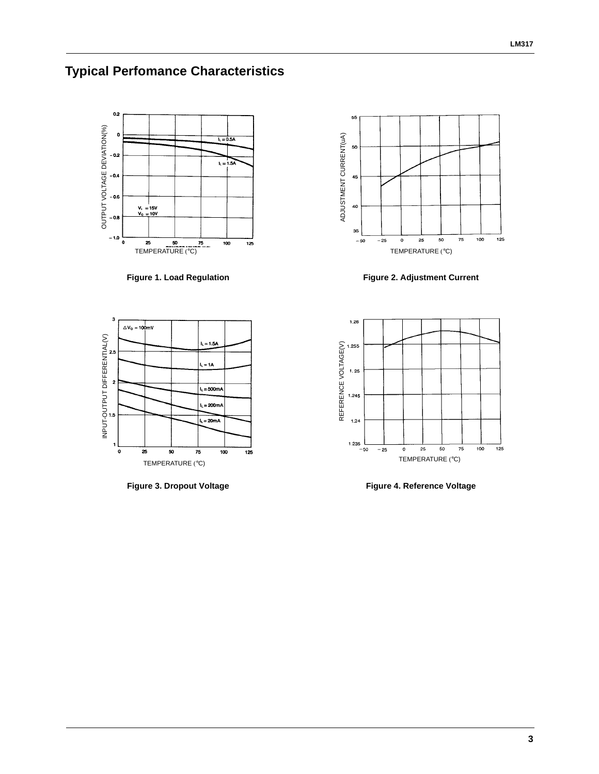# **Typical Perfomance Characteristics**



**Figure 1. Load Regulation**



**Figure 3. Dropout Voltage**



**Figure 2. Adjustment Current**



**Figure 4. Reference Voltage**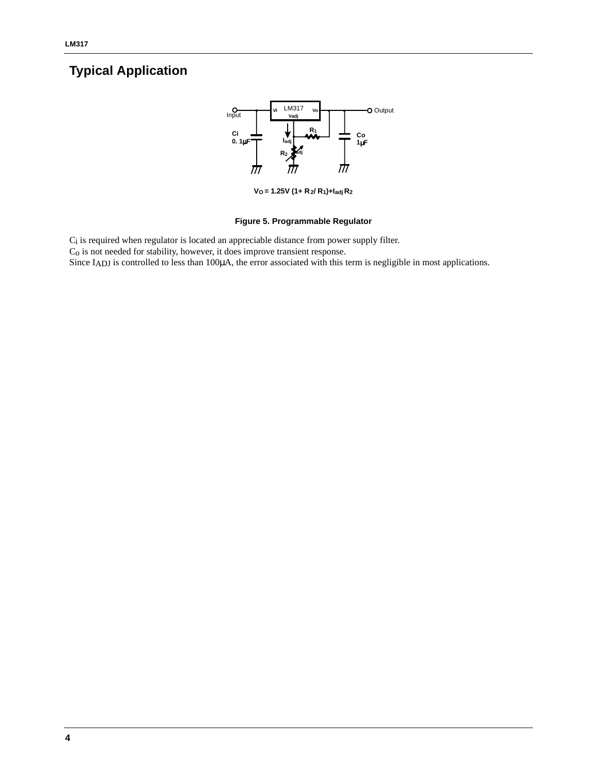# **Typical Application**



**VO = 1.25V (1+ R2/ R1)+Iadj R2**

### **Figure 5. Programmable Regulator**

Ci is required when regulator is located an appreciable distance from power supply filter.

Co is not needed for stability, however, it does improve transient response.

Since IADJ is controlled to less than 100 $\mu$ A, the error associated with this term is negligible in most applications.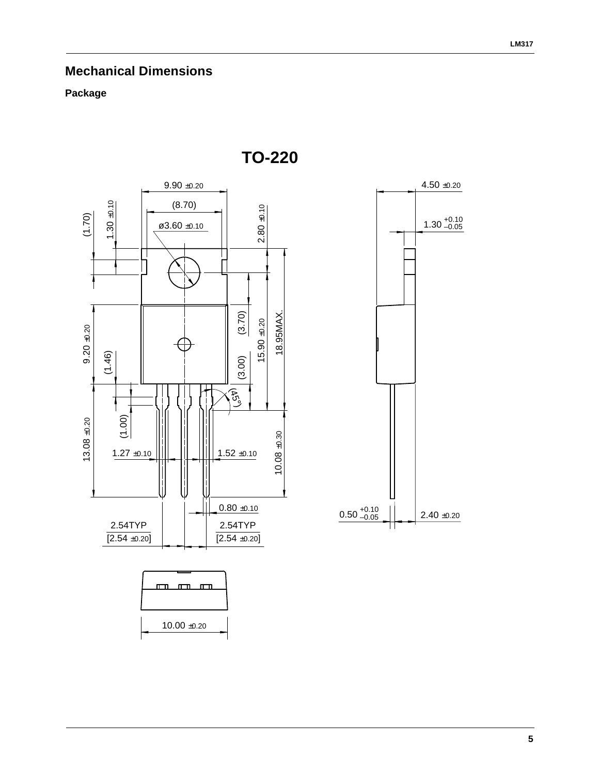## **Mechanical Dimensions**

### **Package**



**TO-220**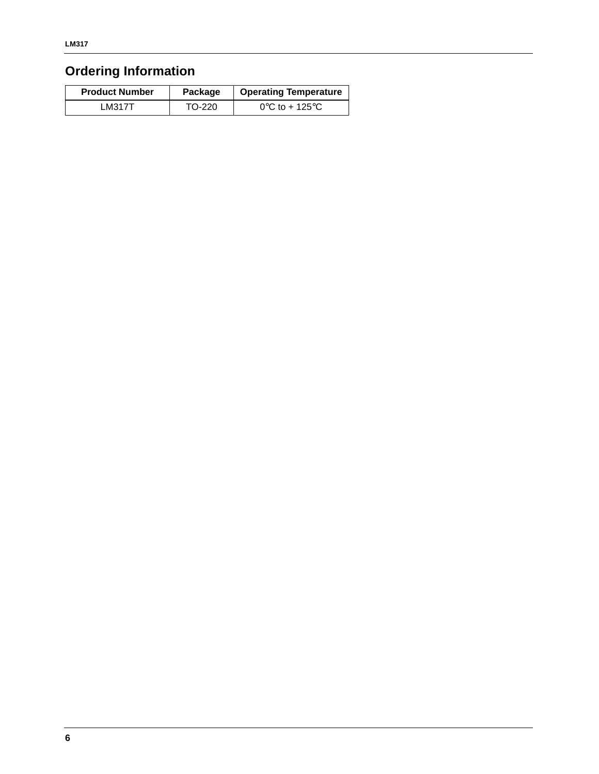# **Ordering Information**

| <b>Product Number</b> | Package | <b>Operating Temperature</b>        |
|-----------------------|---------|-------------------------------------|
| LM317T                | TO-220  | $0^{\circ}$ C to + 125 $^{\circ}$ C |